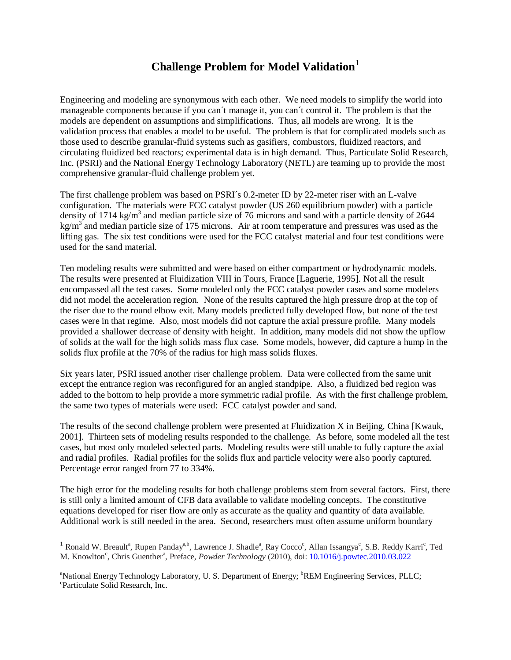## **Challenge Problem for Model Validation[1](#page-0-0)**

Engineering and modeling are synonymous with each other. We need models to simplify the world into manageable components because if you can´t manage it, you can´t control it. The problem is that the models are dependent on assumptions and simplifications. Thus, all models are wrong. It is the validation process that enables a model to be useful. The problem is that for complicated models such as those used to describe granular-fluid systems such as gasifiers, combustors, fluidized reactors, and circulating fluidized bed reactors; experimental data is in high demand. Thus, Particulate Solid Research, Inc. (PSRI) and the National Energy Technology Laboratory (NETL) are teaming up to provide the most comprehensive granular-fluid challenge problem yet.

The first challenge problem was based on PSRI´s 0.2-meter ID by 22-meter riser with an L-valve configuration. The materials were FCC catalyst powder (US 260 equilibrium powder) with a particle density of 1714 kg/m<sup>3</sup> and median particle size of 76 microns and sand with a particle density of 2644  $kg/m<sup>3</sup>$  and median particle size of 175 microns. Air at room temperature and pressures was used as the lifting gas. The six test conditions were used for the FCC catalyst material and four test conditions were used for the sand material.

Ten modeling results were submitted and were based on either compartment or hydrodynamic models. The results were presented at Fluidization VIII in Tours, France [Laguerie, 1995]. Not all the result encompassed all the test cases. Some modeled only the FCC catalyst powder cases and some modelers did not model the acceleration region. None of the results captured the high pressure drop at the top of the riser due to the round elbow exit. Many models predicted fully developed flow, but none of the test cases were in that regime. Also, most models did not capture the axial pressure profile. Many models provided a shallower decrease of density with height. In addition, many models did not show the upflow of solids at the wall for the high solids mass flux case. Some models, however, did capture a hump in the solids flux profile at the 70% of the radius for high mass solids fluxes.

Six years later, PSRI issued another riser challenge problem. Data were collected from the same unit except the entrance region was reconfigured for an angled standpipe. Also, a fluidized bed region was added to the bottom to help provide a more symmetric radial profile. As with the first challenge problem, the same two types of materials were used: FCC catalyst powder and sand.

The results of the second challenge problem were presented at Fluidization X in Beijing, China [Kwauk, 2001]. Thirteen sets of modeling results responded to the challenge. As before, some modeled all the test cases, but most only modeled selected parts. Modeling results were still unable to fully capture the axial and radial profiles. Radial profiles for the solids flux and particle velocity were also poorly captured. Percentage error ranged from 77 to 334%.

The high error for the modeling results for both challenge problems stem from several factors. First, there is still only a limited amount of CFB data available to validate modeling concepts. The constitutive equations developed for riser flow are only as accurate as the quality and quantity of data available. Additional work is still needed in the area. Second, researchers must often assume uniform boundary

<span id="page-0-0"></span><sup>&</sup>lt;sup>1</sup> Ronald W. Breault<sup>a</sup>, Rupen Panday<sup>a,b</sup>, Lawrence J. Shadle<sup>a</sup>, Ray Cocco<sup>c</sup>, Allan Issangya<sup>c</sup>, S.B. Reddy Karri<sup>c</sup>, Ted M. Knowlton<sup>c</sup>, Chris Guenther<sup>a</sup>, Preface, *Powder Technology* (2010), doi: 10.1016/j.powtec.2010.03.022

<sup>&</sup>lt;sup>a</sup>National Energy Technology Laboratory, U. S. Department of Energy; <sup>b</sup>REM Engineering Services, PLLC;<br><sup>c</sup>Perticulate Solid Pescarch, Inc. Particulate Solid Research, Inc.